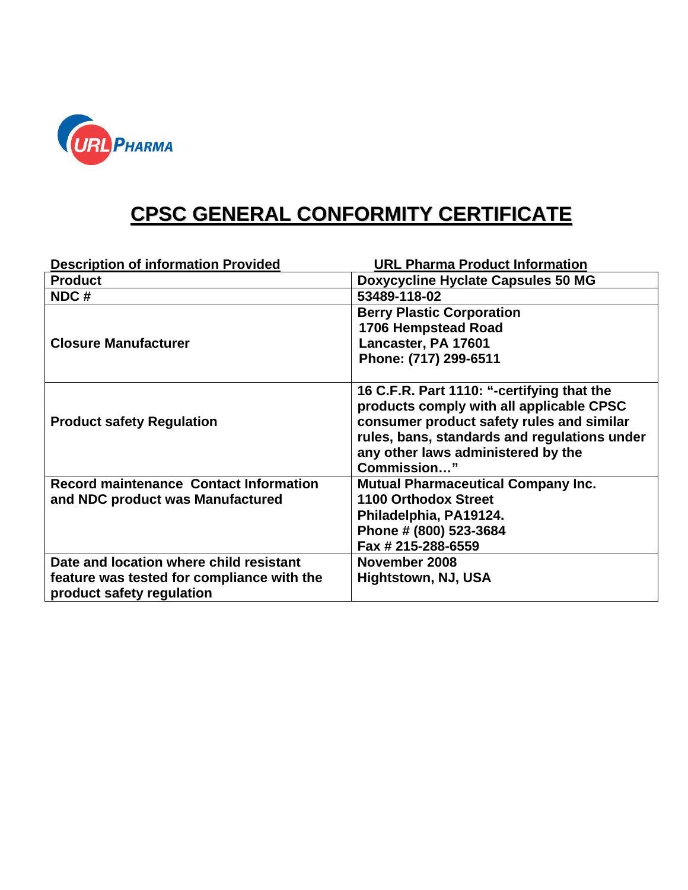

## **CPSC GENERAL CONFORMITY CERTIFICATE**

| <b>Description of information Provided</b>                                                                         | <b>URL Pharma Product Information</b>                                                                                                                                                                                                    |
|--------------------------------------------------------------------------------------------------------------------|------------------------------------------------------------------------------------------------------------------------------------------------------------------------------------------------------------------------------------------|
| <b>Product</b>                                                                                                     | <b>Doxycycline Hyclate Capsules 50 MG</b>                                                                                                                                                                                                |
| NDC#                                                                                                               | 53489-118-02                                                                                                                                                                                                                             |
| <b>Closure Manufacturer</b>                                                                                        | <b>Berry Plastic Corporation</b><br>1706 Hempstead Road<br>Lancaster, PA 17601<br>Phone: (717) 299-6511                                                                                                                                  |
| <b>Product safety Regulation</b>                                                                                   | 16 C.F.R. Part 1110: "-certifying that the<br>products comply with all applicable CPSC<br>consumer product safety rules and similar<br>rules, bans, standards and regulations under<br>any other laws administered by the<br>Commission" |
| <b>Record maintenance Contact Information</b><br>and NDC product was Manufactured                                  | <b>Mutual Pharmaceutical Company Inc.</b><br>1100 Orthodox Street<br>Philadelphia, PA19124.<br>Phone # (800) 523-3684<br>Fax # 215-288-6559                                                                                              |
| Date and location where child resistant<br>feature was tested for compliance with the<br>product safety regulation | November 2008<br>Hightstown, NJ, USA                                                                                                                                                                                                     |